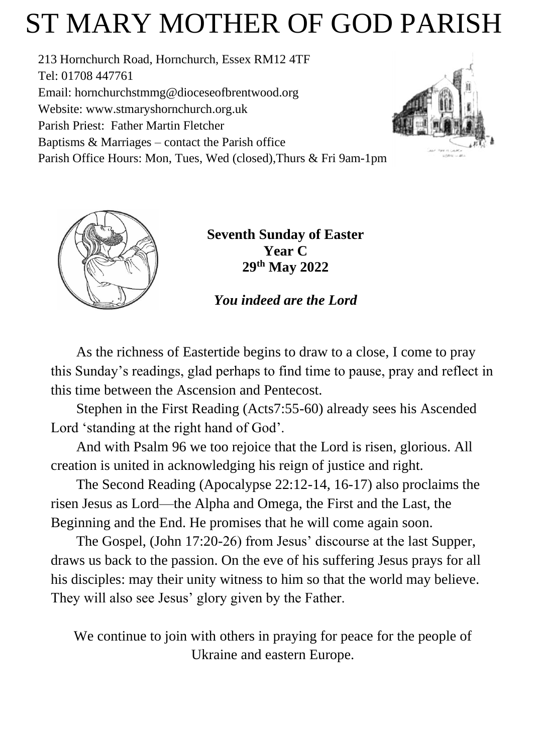# ST MARY MOTHER OF GOD PARISH

213 Hornchurch Road, Hornchurch, Essex RM12 4TF Tel: 01708 447761 Email: [hornchurchstmmg@dioceseofbrentwood.org](mailto:hornchurchstmmg@dioceseofbrentwood.org) Website: [www.stmaryshornchurch.org.uk](http://www.stmaryshornchurch.org.uk/) Parish Priest: Father Martin Fletcher Baptisms & Marriages – contact the Parish office Parish Office Hours: Mon, Tues, Wed (closed),Thurs & Fri 9am-1pm





**Seventh Sunday of Easter Year C 29th May 2022**

*You indeed are the Lord*

As the richness of Eastertide begins to draw to a close, I come to pray this Sunday's readings, glad perhaps to find time to pause, pray and reflect in this time between the Ascension and Pentecost.

Stephen in the First Reading (Acts7:55-60) already sees his Ascended Lord 'standing at the right hand of God'.

And with Psalm 96 we too rejoice that the Lord is risen, glorious. All creation is united in acknowledging his reign of justice and right.

The Second Reading (Apocalypse 22:12-14, 16-17) also proclaims the risen Jesus as Lord—the Alpha and Omega, the First and the Last, the Beginning and the End. He promises that he will come again soon.

The Gospel, (John 17:20-26) from Jesus' discourse at the last Supper, draws us back to the passion. On the eve of his suffering Jesus prays for all his disciples: may their unity witness to him so that the world may believe. They will also see Jesus' glory given by the Father.

We continue to join with others in praying for peace for the people of Ukraine and eastern Europe.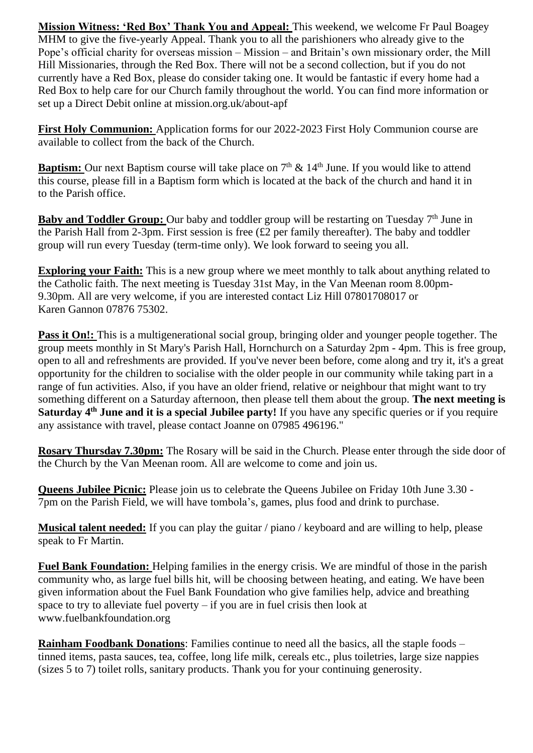**Mission Witness: 'Red Box' Thank You and Appeal:** This weekend, we welcome Fr Paul Boagey MHM to give the five-yearly Appeal. Thank you to all the parishioners who already give to the Pope's official charity for overseas mission – Mission – and Britain's own missionary order, the Mill Hill Missionaries, through the Red Box. There will not be a second collection, but if you do not currently have a Red Box, please do consider taking one. It would be fantastic if every home had a Red Box to help care for our Church family throughout the world. You can find more information or set up a Direct Debit online at mission.org.uk/about-apf

**First Holy Communion:** Application forms for our 2022-2023 First Holy Communion course are available to collect from the back of the Church.

**Baptism:** Our next Baptism course will take place on  $7<sup>th</sup>$  & 14<sup>th</sup> June. If you would like to attend this course, please fill in a Baptism form which is located at the back of the church and hand it in to the Parish office.

Baby and Toddler Group: Our baby and toddler group will be restarting on Tuesday 7<sup>th</sup> June in the Parish Hall from 2-3pm. First session is free (£2 per family thereafter). The baby and toddler group will run every Tuesday (term-time only). We look forward to seeing you all.

**Exploring your Faith:** This is a new group where we meet monthly to talk about anything related to the Catholic faith. The next meeting is Tuesday 31st May, in the Van Meenan room 8.00pm-9.30pm. All are very welcome, if you are interested contact Liz Hill 07801708017 or Karen Gannon 07876 75302.

**Pass it On!:** This is a multigenerational social group, bringing older and younger people together. The group meets monthly in St Mary's Parish Hall, Hornchurch on a Saturday 2pm - 4pm. This is free group, open to all and refreshments are provided. If you've never been before, come along and try it, it's a great opportunity for the children to socialise with the older people in our community while taking part in a range of fun activities. Also, if you have an older friend, relative or neighbour that might want to try something different on a Saturday afternoon, then please tell them about the group. **The next meeting is Saturday 4th June and it is a special Jubilee party!** If you have any specific queries or if you require any assistance with travel, please contact Joanne on 07985 496196."

**Rosary Thursday 7.30pm:** The Rosary will be said in the Church. Please enter through the side door of the Church by the Van Meenan room. All are welcome to come and join us.

**Queens Jubilee Picnic:** Please join us to celebrate the Queens Jubilee on Friday 10th June 3.30 - 7pm on the Parish Field, we will have tombola's, games, plus food and drink to purchase.

**Musical talent needed:** If you can play the guitar / piano / keyboard and are willing to help, please speak to Fr Martin.

**Fuel Bank Foundation:** Helping families in the energy crisis. We are mindful of those in the parish community who, as large fuel bills hit, will be choosing between heating, and eating. We have been given information about the Fuel Bank Foundation who give families help, advice and breathing space to try to alleviate fuel poverty  $-$  if you are in fuel crisis then look at www.fuelbankfoundation.org

**Rainham Foodbank Donations:** Families continue to need all the basics, all the staple foods – tinned items, pasta sauces, tea, coffee, long life milk, cereals etc., plus toiletries, large size nappies (sizes 5 to 7) toilet rolls, sanitary products. Thank you for your continuing generosity.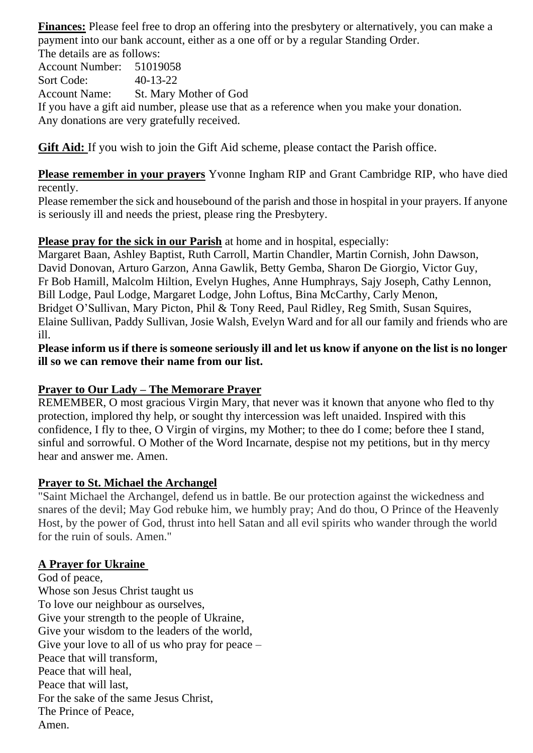**Finances:** Please feel free to drop an offering into the presbytery or alternatively, you can make a payment into our bank account, either as a one off or by a regular Standing Order. The details are as follows:

Account Number: 51019058 Sort Code: 40-13-22 Account Name: St. Mary Mother of God If you have a gift aid number, please use that as a reference when you make your donation. Any donations are very gratefully received.

**Gift Aid:** If you wish to join the Gift Aid scheme, please contact the Parish office.

**Please remember in your prayers** Yvonne Ingham RIP and Grant Cambridge RIP, who have died recently.

Please remember the sick and housebound of the parish and those in hospital in your prayers. If anyone is seriously ill and needs the priest, please ring the Presbytery.

### **Please pray for the sick in our Parish** at home and in hospital, especially:

Margaret Baan, Ashley Baptist, Ruth Carroll, Martin Chandler, Martin Cornish, John Dawson, David Donovan, Arturo Garzon, Anna Gawlik, Betty Gemba, Sharon De Giorgio, Victor Guy, Fr Bob Hamill, Malcolm Hiltion, Evelyn Hughes, Anne Humphrays, Sajy Joseph, Cathy Lennon, Bill Lodge, Paul Lodge, Margaret Lodge, John Loftus, Bina McCarthy, Carly Menon, Bridget O'Sullivan, Mary Picton, Phil & Tony Reed, Paul Ridley, Reg Smith, Susan Squires, Elaine Sullivan, Paddy Sullivan, Josie Walsh, Evelyn Ward and for all our family and friends who are ill.

**Please inform us if there is someone seriously ill and let us know if anyone on the list is no longer ill so we can remove their name from our list.**

### **Prayer to Our Lady – The Memorare Prayer**

REMEMBER, O most gracious Virgin Mary, that never was it known that anyone who fled to thy protection, implored thy help, or sought thy intercession was left unaided. Inspired with this confidence, I fly to thee, O Virgin of virgins, my Mother; to thee do I come; before thee I stand, sinful and sorrowful. O Mother of the Word Incarnate, despise not my petitions, but in thy mercy hear and answer me. Amen.

### **Prayer to St. Michael the Archangel**

"Saint Michael the Archangel, defend us in battle. Be our protection against the wickedness and snares of the devil; May God rebuke him, we humbly pray; And do thou, O Prince of the Heavenly Host, by the power of God, thrust into hell Satan and all evil spirits who wander through the world for the ruin of souls. Amen."

### **A Prayer for Ukraine**

God of peace, Whose son Jesus Christ taught us To love our neighbour as ourselves, Give your strength to the people of Ukraine, Give your wisdom to the leaders of the world, Give your love to all of us who pray for peace – Peace that will transform, Peace that will heal, Peace that will last, For the sake of the same Jesus Christ, The Prince of Peace, Amen.